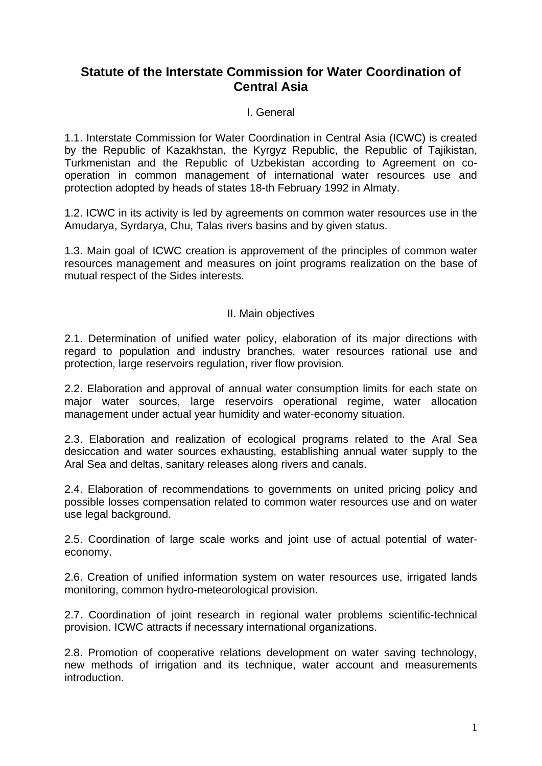# **Statute of the Interstate Commission for Water Coordination of Central Asia**

#### I. General

1.1. Interstate Commission for Water Coordination in Central Asia (ICWC) is created by the Republic of Kazakhstan, the Kyrgyz Republic, the Republic of Tajikistan, Turkmenistan and the Republic of Uzbekistan according to Agreement on cooperation in common management of international water resources use and protection adopted by heads of states 18-th February 1992 in Almaty.

1.2. ICWC in its activity is led by agreements on common water resources use in the Amudarya, Syrdarya, Chu, Talas rivers basins and by given status.

1.3. Main goal of ICWC creation is approvement of the principles of common water resources management and measures on joint programs realization on the base of mutual respect of the Sides interests.

#### II. Main objectives

2.1. Determination of unified water policy, elaboration of its major directions with regard to population and industry branches, water resources rational use and protection, large reservoirs regulation, river flow provision.

2.2. Elaboration and approval of annual water consumption limits for each state on major water sources, large reservoirs operational regime, water allocation management under actual year humidity and water-economy situation.

2.3. Elaboration and realization of ecological programs related to the Aral Sea desiccation and water sources exhausting, establishing annual water supply to the Aral Sea and deltas, sanitary releases along rivers and canals.

2.4. Elaboration of recommendations to governments on united pricing policy and possible losses compensation related to common water resources use and on water use legal background.

2.5. Coordination of large scale works and joint use of actual potential of watereconomy.

2.6. Creation of unified information system on water resources use, irrigated lands monitoring, common hydro-meteorological provision.

2.7. Coordination of joint research in regional water problems scientific-technical provision. ICWC attracts if necessary international organizations.

2.8. Promotion of cooperative relations development on water saving technology, new methods of irrigation and its technique, water account and measurements introduction.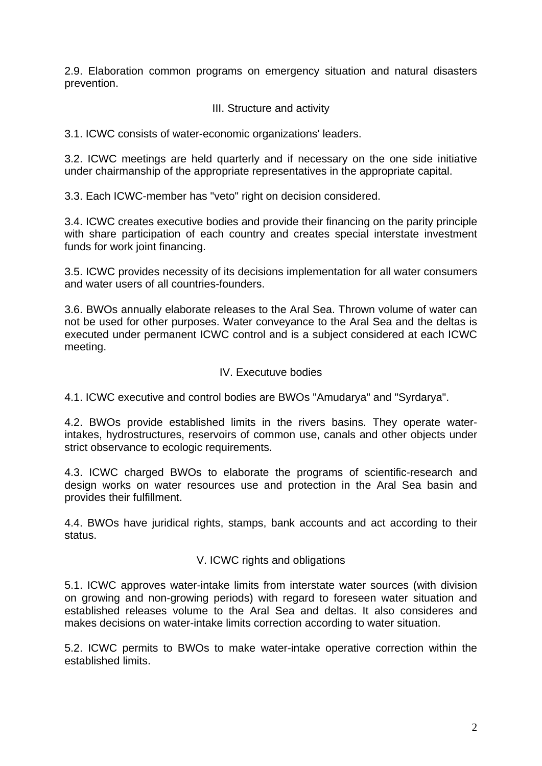2.9. Elaboration common programs on emergency situation and natural disasters prevention.

## III. Structure and activity

3.1. ICWC consists of water-economic organizations' leaders.

3.2. ICWC meetings are held quarterly and if necessary on the one side initiative under chairmanship of the appropriate representatives in the appropriate capital.

3.3. Each ICWC-member has "veto" right on decision considered.

3.4. ICWC creates executive bodies and provide their financing on the parity principle with share participation of each country and creates special interstate investment funds for work joint financing.

3.5. ICWC provides necessity of its decisions implementation for all water consumers and water users of all countries-founders.

3.6. BWOs annually elaborate releases to the Aral Sea. Thrown volume of water can not be used for other purposes. Water conveyance to the Aral Sea and the deltas is executed under permanent ICWC control and is a subject considered at each ICWC meeting.

## IV. Executuve bodies

4.1. ICWC executive and control bodies are BWOs "Amudarya" and "Syrdarya".

4.2. BWOs provide established limits in the rivers basins. They operate waterintakes, hydrostructures, reservoirs of common use, canals and other objects under strict observance to ecologic requirements.

4.3. ICWC charged BWOs to elaborate the programs of scientific-research and design works on water resources use and protection in the Aral Sea basin and provides their fulfillment.

4.4. BWOs have juridical rights, stamps, bank accounts and act according to their status.

## V. ICWC rights and obligations

5.1. ICWC approves water-intake limits from interstate water sources (with division on growing and non-growing periods) with regard to foreseen water situation and established releases volume to the Aral Sea and deltas. It also consideres and makes decisions on water-intake limits correction according to water situation.

5.2. ICWC permits to BWOs to make water-intake operative correction within the established limits.